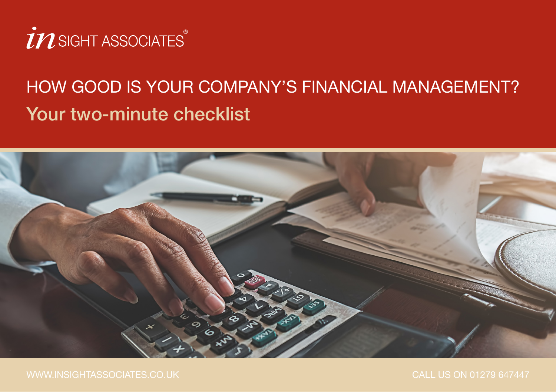

# HOW GOOD IS YOUR COMPANY'S FINANCIAL MANAGEMENT? Your two-minute checklist

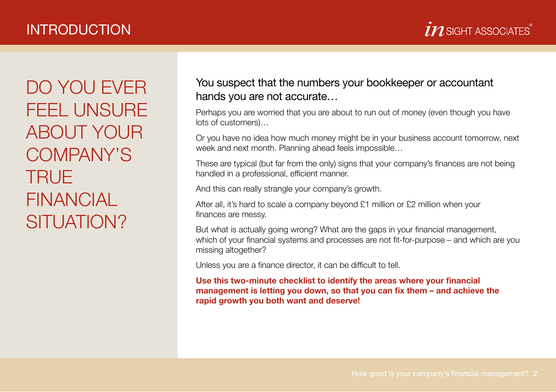## INTRODUCTION

DO YOU EVER FEEL UNSURE ABOUT YOUR COMPANY'S TRUE FINANCIAL SITUATION?

### You suspect that the numbers your bookkeeper or accountant hands you are not accurate…

Perhaps you are worried that you are about to run out of money (even though you have lots of customers)…

Or you have no idea how much money might be in your business account tomorrow, next week and next month. Planning ahead feels impossible…

These are typical (but far from the only) signs that your company's finances are not being handled in a professional, efficient manner.

And this can really strangle your company's growth.

After all, it's hard to scale a company beyond £1 million or £2 million when your finances are messy.

But what is actually going wrong? What are the gaps in your financial management, which of your financial systems and processes are not fit-for-purpose – and which are you missing altogether?

Unless you are a finance director, it can be difficult to tell.

**Use this two-minute checklist to identify the areas where your financial management is letting you down, so that you can fix them – and achieve the rapid growth you both want and deserve!**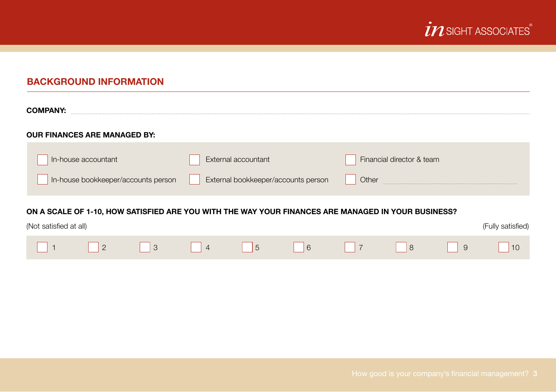

#### **BACKGROUND INFORMATION**

| <b>OUR FINANCES ARE MANAGED BY:</b>                                                                                               |                           |
|-----------------------------------------------------------------------------------------------------------------------------------|---------------------------|
|                                                                                                                                   |                           |
| In-house accountant<br>External accountant<br>In-house bookkeeper/accounts person<br>External bookkeeper/accounts person<br>Other | Financial director & team |

#### **ON A SCALE OF 1-10, HOW SATISFIED ARE YOU WITH THE WAY YOUR FINANCES ARE MANAGED IN YOUR BUSINESS?**

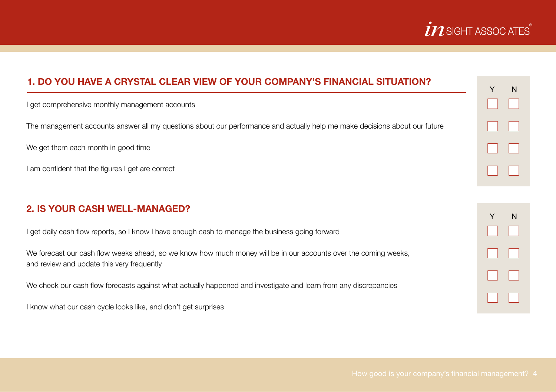# $\overline{\textbf{U}}\textbf{N}$  SIGHT ASSOCIATES

#### **1. DO YOU HAVE A CRYSTAL CLEAR VIEW OF YOUR COMPANY'S FINANCIAL SITUATION?**

I get comprehensive monthly management accounts

The management accounts answer all my questions about our performance and actually help me make decisions about our future

We get them each month in good time

I am confident that the figures I get are correct

#### **2. IS YOUR CASH WELL-MANAGED?**

I get daily cash flow reports, so I know I have enough cash to manage the business going forward

We forecast our cash flow weeks ahead, so we know how much money will be in our accounts over the coming weeks, and review and update this very frequently

We check our cash flow forecasts against what actually happened and investigate and learn from any discrepancies

I know what our cash cycle looks like, and don't get surprises

|     | Ν  |
|-----|----|
|     | b. |
| l a | k. |
| L   | L  |
|     | I. |

| N |
|---|
|   |
|   |
|   |
|   |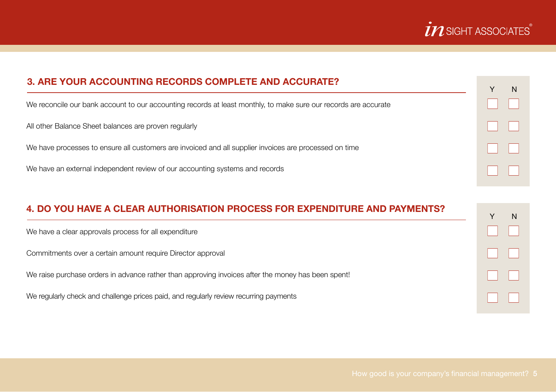

| <b>3. ARE YOUR ACCOUNTING RECORDS COMPLETE AND ACCURATE?</b>                                                    | N |
|-----------------------------------------------------------------------------------------------------------------|---|
| We reconcile our bank account to our accounting records at least monthly, to make sure our records are accurate |   |
| All other Balance Sheet balances are proven regularly                                                           |   |
| We have processes to ensure all customers are invoiced and all supplier invoices are processed on time          |   |
| We have an external independent review of our accounting systems and records                                    |   |

#### **4. DO YOU HAVE A CLEAR AUTHORISATION PROCESS FOR EXPENDITURE AND PAYMENTS?**

We have a clear approvals process for all expenditure

Commitments over a certain amount require Director approval

We raise purchase orders in advance rather than approving invoices after the money has been spent!

We regularly check and challenge prices paid, and regularly review recurring payments

| N |
|---|
|   |
| L |
|   |
|   |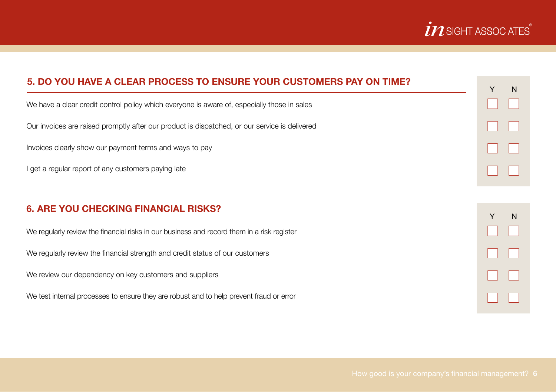

| 5. DO YOU HAVE A CLEAR PROCESS TO ENSURE YOUR CUSTOMERS PAY ON TIME?                          | N |
|-----------------------------------------------------------------------------------------------|---|
| We have a clear credit control policy which everyone is aware of, especially those in sales   |   |
| Our invoices are raised promptly after our product is dispatched, or our service is delivered |   |
| Invoices clearly show our payment terms and ways to pay                                       |   |
| I get a regular report of any customers paying late                                           |   |
|                                                                                               |   |
| <b>6. ARE YOU CHECKING FINANCIAL RISKS?</b>                                                   | N |
| We regularly review the financial risks in our business and record them in a risk register    |   |
| We regularly review the financial strength and credit status of our customers                 |   |
| We review our dependency on key customers and suppliers                                       |   |

We test internal processes to ensure they are robust and to help prevent fraud or error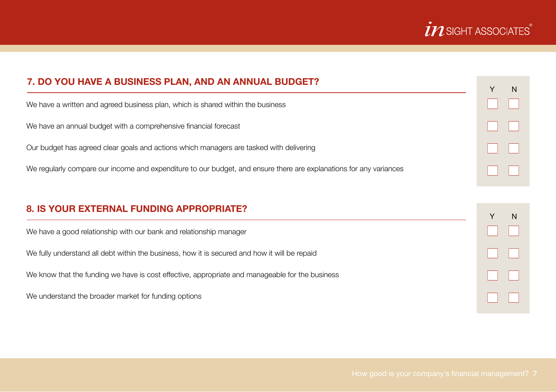

| 7. DO YOU HAVE A BUSINESS PLAN, AND AN ANNUAL BUDGET?                                                              | N |
|--------------------------------------------------------------------------------------------------------------------|---|
| We have a written and agreed business plan, which is shared within the business                                    |   |
| We have an annual budget with a comprehensive financial forecast                                                   |   |
| Our budget has agreed clear goals and actions which managers are tasked with delivering                            |   |
| We regularly compare our income and expenditure to our budget, and ensure there are explanations for any variances |   |
|                                                                                                                    |   |
| 8. IS YOUR EXTERNAL FUNDING APPROPRIATE?                                                                           |   |

We have a good relationship with our bank and relationship manager

We fully understand all debt within the business, how it is secured and how it will be repaid

We know that the funding we have is cost effective, appropriate and manageable for the business

We understand the broader market for funding options